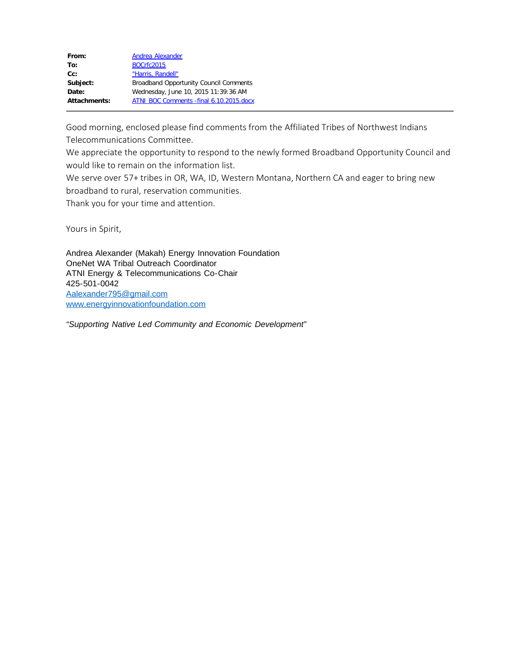| From:        | Andrea Alexander                              |
|--------------|-----------------------------------------------|
| To:          | <b>BOCrfc2015</b>                             |
| $Cc$ :       | "Harris, Randell"                             |
| Subject:     | <b>Broadband Opportunity Council Comments</b> |
| Date:        | Wednesday, June 10, 2015 11:39:36 AM          |
| Attachments: | ATNI BOC Comments - final 6.10.2015.docx      |

Good morning, enclosed please find comments from the Affiliated Tribes of Northwest Indians Telecommunications Committee.

We appreciate the opportunity to respond to the newly formed Broadband Opportunity Council and would like to remain on the information list.

We serve over 57+ tribes in OR, WA, ID, Western Montana, Northern CA and eager to bring new broadband to rural, reservation communities.

Thank you for your time and attention.

Yours in Spirit,

Andrea Alexander (Makah) Energy Innovation Foundation OneNet WA Tribal Outreach Coordinator ATNI Energy & Telecommunications Co-Chair 425-501-0042 [Aalexander795@gmail.com](mailto:Aalexander795@gmail.com) [www.energyinnovationfoundation.com](http://www.energyinnovationfoundation.com/)

*"Supporting Native Led Community and Economic Development"*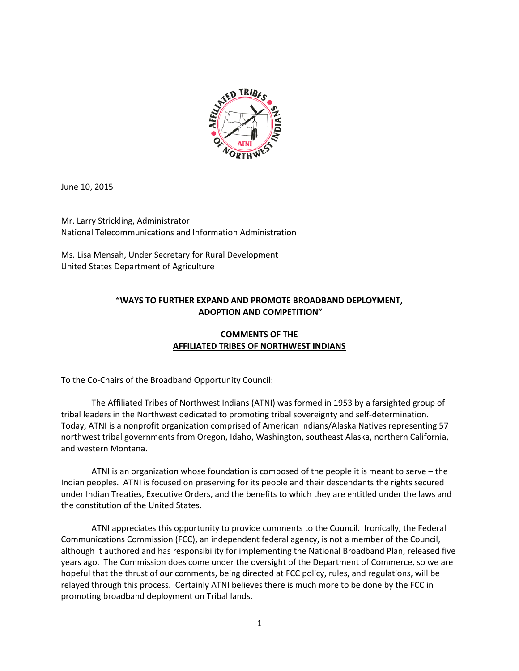

June 10, 2015

Mr. Larry Strickling, Administrator National Telecommunications and Information Administration

Ms. Lisa Mensah, Under Secretary for Rural Development United States Department of Agriculture

# **"WAYS TO FURTHER EXPAND AND PROMOTE BROADBAND DEPLOYMENT, ADOPTION AND COMPETITION"**

# **COMMENTS OF THE AFFILIATED TRIBES OF NORTHWEST INDIANS**

To the Co-Chairs of the Broadband Opportunity Council:

The Affiliated Tribes of Northwest Indians (ATNI) was formed in 1953 by a farsighted group of tribal leaders in the Northwest dedicated to promoting tribal sovereignty and self-determination. Today, ATNI is a nonprofit organization comprised of American Indians/Alaska Natives representing 57 northwest tribal governments from Oregon, Idaho, Washington, southeast Alaska, northern California, and western Montana.

ATNI is an organization whose foundation is composed of the people it is meant to serve – the Indian peoples. ATNI is focused on preserving for its people and their descendants the rights secured under Indian Treaties, Executive Orders, and the benefits to which they are entitled under the laws and the constitution of the United States.

ATNI appreciates this opportunity to provide comments to the Council. Ironically, the Federal Communications Commission (FCC), an independent federal agency, is not a member of the Council, although it authored and has responsibility for implementing the National Broadband Plan, released five years ago. The Commission does come under the oversight of the Department of Commerce, so we are hopeful that the thrust of our comments, being directed at FCC policy, rules, and regulations, will be relayed through this process. Certainly ATNI believes there is much more to be done by the FCC in promoting broadband deployment on Tribal lands.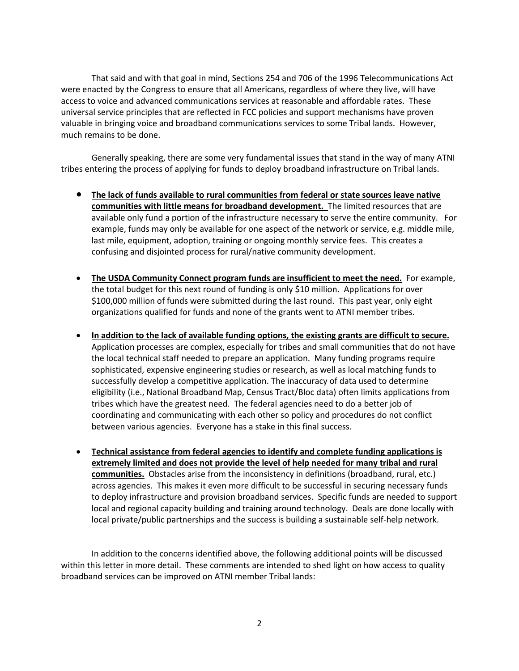That said and with that goal in mind, Sections 254 and 706 of the 1996 Telecommunications Act were enacted by the Congress to ensure that all Americans, regardless of where they live, will have access to voice and advanced communications services at reasonable and affordable rates. These universal service principles that are reflected in FCC policies and support mechanisms have proven valuable in bringing voice and broadband communications services to some Tribal lands. However, much remains to be done.

Generally speaking, there are some very fundamental issues that stand in the way of many ATNI tribes entering the process of applying for funds to deploy broadband infrastructure on Tribal lands.

- **The lack of funds available to rural communities from federal or state sources leave native communities with little means for broadband development.** The limited resources that are available only fund a portion of the infrastructure necessary to serve the entire community. For example, funds may only be available for one aspect of the network or service, e.g. middle mile, last mile, equipment, adoption, training or ongoing monthly service fees. This creates a confusing and disjointed process for rural/native community development.
- **The USDA Community Connect program funds are insufficient to meet the need.** For example, the total budget for this next round of funding is only \$10 million. Applications for over \$100,000 million of funds were submitted during the last round. This past year, only eight organizations qualified for funds and none of the grants went to ATNI member tribes.
- **In addition to the lack of available funding options, the existing grants are difficult to secure.** Application processes are complex, especially for tribes and small communities that do not have the local technical staff needed to prepare an application. Many funding programs require sophisticated, expensive engineering studies or research, as well as local matching funds to successfully develop a competitive application. The inaccuracy of data used to determine eligibility (i.e., National Broadband Map, Census Tract/Bloc data) often limits applications from tribes which have the greatest need. The federal agencies need to do a better job of coordinating and communicating with each other so policy and procedures do not conflict between various agencies. Everyone has a stake in this final success.
- **Technical assistance from federal agencies to identify and complete funding applications is extremely limited and does not provide the level of help needed for many tribal and rural communities.** Obstacles arise from the inconsistency in definitions (broadband, rural, etc.) across agencies. This makes it even more difficult to be successful in securing necessary funds to deploy infrastructure and provision broadband services. Specific funds are needed to support local and regional capacity building and training around technology. Deals are done locally with local private/public partnerships and the success is building a sustainable self-help network.

In addition to the concerns identified above, the following additional points will be discussed within this letter in more detail. These comments are intended to shed light on how access to quality broadband services can be improved on ATNI member Tribal lands: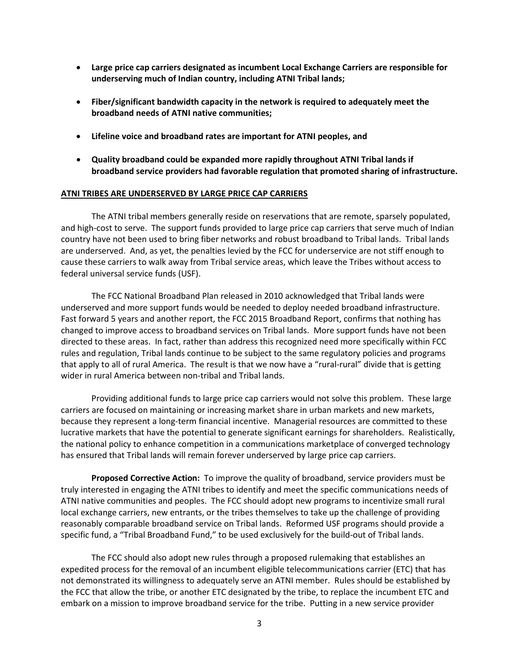- **Large price cap carriers designated as incumbent Local Exchange Carriers are responsible for underserving much of Indian country, including ATNI Tribal lands;**
- **Fiber/significant bandwidth capacity in the network is required to adequately meet the broadband needs of ATNI native communities;**
- **Lifeline voice and broadband rates are important for ATNI peoples, and**
- **Quality broadband could be expanded more rapidly throughout ATNI Tribal lands if broadband service providers had favorable regulation that promoted sharing of infrastructure.**

#### **ATNI TRIBES ARE UNDERSERVED BY LARGE PRICE CAP CARRIERS**

The ATNI tribal members generally reside on reservations that are remote, sparsely populated, and high-cost to serve. The support funds provided to large price cap carriers that serve much of Indian country have not been used to bring fiber networks and robust broadband to Tribal lands. Tribal lands are underserved. And, as yet, the penalties levied by the FCC for underservice are not stiff enough to cause these carriers to walk away from Tribal service areas, which leave the Tribes without access to federal universal service funds (USF).

The FCC National Broadband Plan released in 2010 acknowledged that Tribal lands were underserved and more support funds would be needed to deploy needed broadband infrastructure. Fast forward 5 years and another report, the FCC 2015 Broadband Report, confirms that nothing has changed to improve access to broadband services on Tribal lands. More support funds have not been directed to these areas. In fact, rather than address this recognized need more specifically within FCC rules and regulation, Tribal lands continue to be subject to the same regulatory policies and programs that apply to all of rural America. The result is that we now have a "rural-rural" divide that is getting wider in rural America between non-tribal and Tribal lands.

Providing additional funds to large price cap carriers would not solve this problem. These large carriers are focused on maintaining or increasing market share in urban markets and new markets, because they represent a long-term financial incentive. Managerial resources are committed to these lucrative markets that have the potential to generate significant earnings for shareholders. Realistically, the national policy to enhance competition in a communications marketplace of converged technology has ensured that Tribal lands will remain forever underserved by large price cap carriers.

**Proposed Corrective Action:** To improve the quality of broadband, service providers must be truly interested in engaging the ATNI tribes to identify and meet the specific communications needs of ATNI native communities and peoples. The FCC should adopt new programs to incentivize small rural local exchange carriers, new entrants, or the tribes themselves to take up the challenge of providing reasonably comparable broadband service on Tribal lands. Reformed USF programs should provide a specific fund, a "Tribal Broadband Fund," to be used exclusively for the build-out of Tribal lands.

The FCC should also adopt new rules through a proposed rulemaking that establishes an expedited process for the removal of an incumbent eligible telecommunications carrier (ETC) that has not demonstrated its willingness to adequately serve an ATNI member. Rules should be established by the FCC that allow the tribe, or another ETC designated by the tribe, to replace the incumbent ETC and embark on a mission to improve broadband service for the tribe. Putting in a new service provider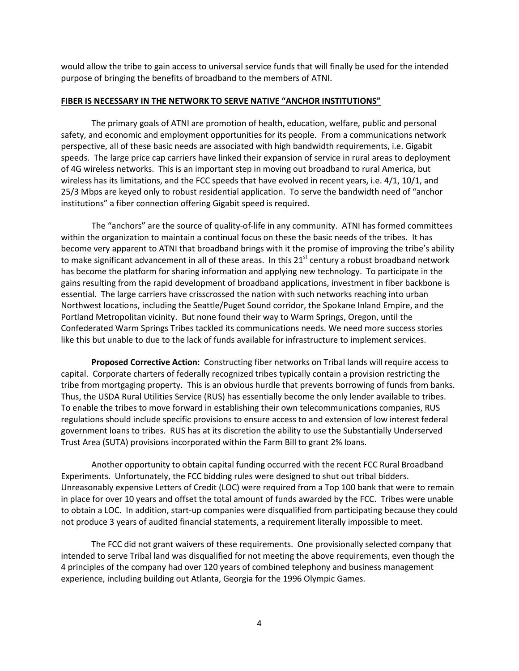would allow the tribe to gain access to universal service funds that will finally be used for the intended purpose of bringing the benefits of broadband to the members of ATNI.

#### **FIBER IS NECESSARY IN THE NETWORK TO SERVE NATIVE "ANCHOR INSTITUTIONS"**

The primary goals of ATNI are promotion of health, education, welfare, public and personal safety, and economic and employment opportunities for its people. From a communications network perspective, all of these basic needs are associated with high bandwidth requirements, i.e. Gigabit speeds. The large price cap carriers have linked their expansion of service in rural areas to deployment of 4G wireless networks. This is an important step in moving out broadband to rural America, but wireless has its limitations, and the FCC speeds that have evolved in recent years, i.e. 4/1, 10/1, and 25/3 Mbps are keyed only to robust residential application. To serve the bandwidth need of "anchor institutions" a fiber connection offering Gigabit speed is required.

The "anchors" are the source of quality-of-life in any community. ATNI has formed committees within the organization to maintain a continual focus on these the basic needs of the tribes. It has become very apparent to ATNI that broadband brings with it the promise of improving the tribe's ability to make significant advancement in all of these areas. In this  $21<sup>st</sup>$  century a robust broadband network has become the platform for sharing information and applying new technology. To participate in the gains resulting from the rapid development of broadband applications, investment in fiber backbone is essential. The large carriers have crisscrossed the nation with such networks reaching into urban Northwest locations, including the Seattle/Puget Sound corridor, the Spokane Inland Empire, and the Portland Metropolitan vicinity. But none found their way to Warm Springs, Oregon, until the Confederated Warm Springs Tribes tackled its communications needs. We need more success stories like this but unable to due to the lack of funds available for infrastructure to implement services.

**Proposed Corrective Action:** Constructing fiber networks on Tribal lands will require access to capital. Corporate charters of federally recognized tribes typically contain a provision restricting the tribe from mortgaging property. This is an obvious hurdle that prevents borrowing of funds from banks. Thus, the USDA Rural Utilities Service (RUS) has essentially become the only lender available to tribes. To enable the tribes to move forward in establishing their own telecommunications companies, RUS regulations should include specific provisions to ensure access to and extension of low interest federal government loans to tribes. RUS has at its discretion the ability to use the Substantially Underserved Trust Area (SUTA) provisions incorporated within the Farm Bill to grant 2% loans.

Another opportunity to obtain capital funding occurred with the recent FCC Rural Broadband Experiments. Unfortunately, the FCC bidding rules were designed to shut out tribal bidders. Unreasonably expensive Letters of Credit (LOC) were required from a Top 100 bank that were to remain in place for over 10 years and offset the total amount of funds awarded by the FCC. Tribes were unable to obtain a LOC. In addition, start-up companies were disqualified from participating because they could not produce 3 years of audited financial statements, a requirement literally impossible to meet.

The FCC did not grant waivers of these requirements. One provisionally selected company that intended to serve Tribal land was disqualified for not meeting the above requirements, even though the 4 principles of the company had over 120 years of combined telephony and business management experience, including building out Atlanta, Georgia for the 1996 Olympic Games.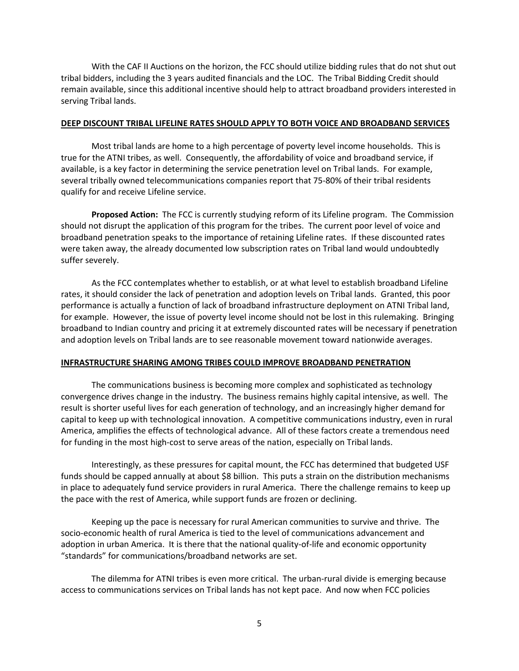With the CAF II Auctions on the horizon, the FCC should utilize bidding rules that do not shut out tribal bidders, including the 3 years audited financials and the LOC. The Tribal Bidding Credit should remain available, since this additional incentive should help to attract broadband providers interested in serving Tribal lands.

### **DEEP DISCOUNT TRIBAL LIFELINE RATES SHOULD APPLY TO BOTH VOICE AND BROADBAND SERVICES**

Most tribal lands are home to a high percentage of poverty level income households. This is true for the ATNI tribes, as well. Consequently, the affordability of voice and broadband service, if available, is a key factor in determining the service penetration level on Tribal lands. For example, several tribally owned telecommunications companies report that 75-80% of their tribal residents qualify for and receive Lifeline service.

**Proposed Action:** The FCC is currently studying reform of its Lifeline program. The Commission should not disrupt the application of this program for the tribes. The current poor level of voice and broadband penetration speaks to the importance of retaining Lifeline rates. If these discounted rates were taken away, the already documented low subscription rates on Tribal land would undoubtedly suffer severely.

As the FCC contemplates whether to establish, or at what level to establish broadband Lifeline rates, it should consider the lack of penetration and adoption levels on Tribal lands. Granted, this poor performance is actually a function of lack of broadband infrastructure deployment on ATNI Tribal land, for example. However, the issue of poverty level income should not be lost in this rulemaking. Bringing broadband to Indian country and pricing it at extremely discounted rates will be necessary if penetration and adoption levels on Tribal lands are to see reasonable movement toward nationwide averages.

#### **INFRASTRUCTURE SHARING AMONG TRIBES COULD IMPROVE BROADBAND PENETRATION**

The communications business is becoming more complex and sophisticated as technology convergence drives change in the industry. The business remains highly capital intensive, as well. The result is shorter useful lives for each generation of technology, and an increasingly higher demand for capital to keep up with technological innovation. A competitive communications industry, even in rural America, amplifies the effects of technological advance. All of these factors create a tremendous need for funding in the most high-cost to serve areas of the nation, especially on Tribal lands.

Interestingly, as these pressures for capital mount, the FCC has determined that budgeted USF funds should be capped annually at about \$8 billion. This puts a strain on the distribution mechanisms in place to adequately fund service providers in rural America. There the challenge remains to keep up the pace with the rest of America, while support funds are frozen or declining.

Keeping up the pace is necessary for rural American communities to survive and thrive. The socio-economic health of rural America is tied to the level of communications advancement and adoption in urban America. It is there that the national quality-of-life and economic opportunity "standards" for communications/broadband networks are set.

The dilemma for ATNI tribes is even more critical. The urban-rural divide is emerging because access to communications services on Tribal lands has not kept pace. And now when FCC policies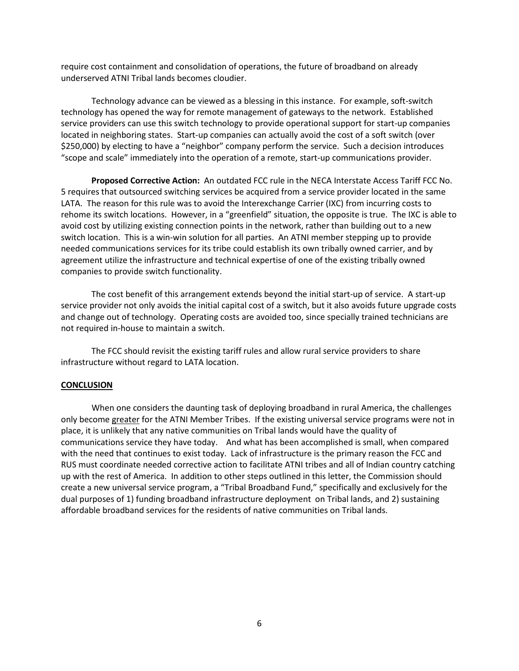require cost containment and consolidation of operations, the future of broadband on already underserved ATNI Tribal lands becomes cloudier.

Technology advance can be viewed as a blessing in this instance. For example, soft-switch technology has opened the way for remote management of gateways to the network. Established service providers can use this switch technology to provide operational support for start-up companies located in neighboring states. Start-up companies can actually avoid the cost of a soft switch (over \$250,000) by electing to have a "neighbor" company perform the service. Such a decision introduces "scope and scale" immediately into the operation of a remote, start-up communications provider.

**Proposed Corrective Action:** An outdated FCC rule in the NECA Interstate Access Tariff FCC No. 5 requires that outsourced switching services be acquired from a service provider located in the same LATA. The reason for this rule was to avoid the Interexchange Carrier (IXC) from incurring costs to rehome its switch locations. However, in a "greenfield" situation, the opposite is true. The IXC is able to avoid cost by utilizing existing connection points in the network, rather than building out to a new switch location. This is a win-win solution for all parties. An ATNI member stepping up to provide needed communications services for its tribe could establish its own tribally owned carrier, and by agreement utilize the infrastructure and technical expertise of one of the existing tribally owned companies to provide switch functionality.

The cost benefit of this arrangement extends beyond the initial start-up of service. A start-up service provider not only avoids the initial capital cost of a switch, but it also avoids future upgrade costs and change out of technology. Operating costs are avoided too, since specially trained technicians are not required in-house to maintain a switch.

The FCC should revisit the existing tariff rules and allow rural service providers to share infrastructure without regard to LATA location.

#### **CONCLUSION**

When one considers the daunting task of deploying broadband in rural America, the challenges only become greater for the ATNI Member Tribes. If the existing universal service programs were not in place, it is unlikely that any native communities on Tribal lands would have the quality of communications service they have today. And what has been accomplished is small, when compared with the need that continues to exist today. Lack of infrastructure is the primary reason the FCC and RUS must coordinate needed corrective action to facilitate ATNI tribes and all of Indian country catching up with the rest of America. In addition to other steps outlined in this letter, the Commission should create a new universal service program, a "Tribal Broadband Fund," specifically and exclusively for the dual purposes of 1) funding broadband infrastructure deployment on Tribal lands, and 2) sustaining affordable broadband services for the residents of native communities on Tribal lands.